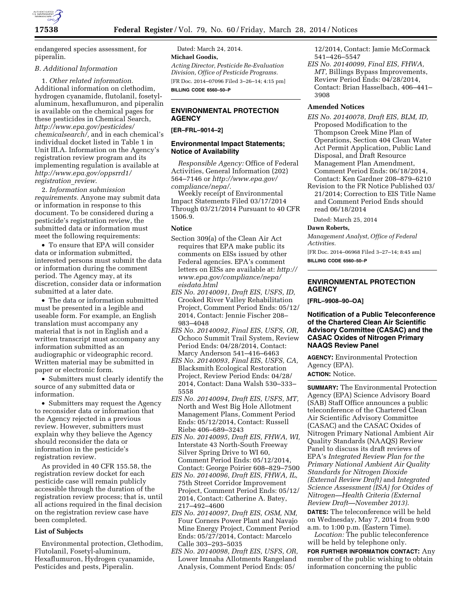

endangered species assessment, for piperalin.

#### *B. Additional Information*

1. *Other related information.*  Additional information on clethodim, hydrogen cyanamide, flutolanil, fosetylaluminum, hexaflumuron, and piperalin is available on the chemical pages for these pesticides in Chemical Search, *[http://www.epa.gov/pesticides/](http://www.epa.gov/pesticides/chemicalsearch/) [chemicalsearch/,](http://www.epa.gov/pesticides/chemicalsearch/)* and in each chemical's individual docket listed in Table 1 in Unit III.A. Information on the Agency's registration review program and its implementing regulation is available at *[http://www.epa.gov/oppsrrd1/](http://www.epa.gov/oppsrrd1/registration_review) [registration](http://www.epa.gov/oppsrrd1/registration_review)*\_*review.* 

2. *Information submission requirements.* Anyone may submit data or information in response to this document. To be considered during a pesticide's registration review, the submitted data or information must meet the following requirements:

• To ensure that EPA will consider data or information submitted, interested persons must submit the data or information during the comment period. The Agency may, at its discretion, consider data or information submitted at a later date.

• The data or information submitted must be presented in a legible and useable form. For example, an English translation must accompany any material that is not in English and a written transcript must accompany any information submitted as an audiographic or videographic record. Written material may be submitted in paper or electronic form.

• Submitters must clearly identify the source of any submitted data or information.

• Submitters may request the Agency to reconsider data or information that the Agency rejected in a previous review. However, submitters must explain why they believe the Agency should reconsider the data or information in the pesticide's registration review.

As provided in 40 CFR 155.58, the registration review docket for each pesticide case will remain publicly accessible through the duration of the registration review process; that is, until all actions required in the final decision on the registration review case have been completed.

#### **List of Subjects**

Environmental protection, Clethodim, Flutolanil, Fosetyl-aluminum, Hexaflumuron, Hydrogen cyanamide, Pesticides and pests, Piperalin.

Dated: March 24, 2014. **Michael Goodis,**  *Acting Director, Pesticide Re-Evaluation Division, Office of Pesticide Programs.*  [FR Doc. 2014–07096 Filed 3–26–14; 4:15 pm] **BILLING CODE 6560–50–P** 

# **ENVIRONMENTAL PROTECTION AGENCY**

# **[ER–FRL–9014–2]**

## **Environmental Impact Statements; Notice of Availability**

*Responsible Agency:* Office of Federal Activities, General Information (202) 564–7146 or *[http://www.epa.gov/](http://www.epa.gov/compliance/nepa/) [compliance/nepa/.](http://www.epa.gov/compliance/nepa/)* 

Weekly receipt of Environmental Impact Statements Filed 03/17/2014 Through 03/21/2014 Pursuant to 40 CFR 1506.9.

## **Notice**

- Section 309(a) of the Clean Air Act requires that EPA make public its comments on EISs issued by other Federal agencies. EPA's comment letters on EISs are available at: *[http://](http://www.epa.gov/compliance/nepa/eisdata.html)  [www.epa.gov/compliance/nepa/](http://www.epa.gov/compliance/nepa/eisdata.html) eisdata.html*
- *EIS No. 20140091, Draft EIS, USFS, ID,*  Crooked River Valley Rehabilitation Project, Comment Period Ends: 05/12/ 2014, Contact: Jennie Fischer 208– 983–4048
- *EIS No. 20140092, Final EIS, USFS, OR,*  Ochoco Summit Trail System, Review Period Ends: 04/28/2014, Contact: Marcy Anderson 541–416–6463
- *EIS No. 20140093, Final EIS, USFS, CA,*  Blacksmith Ecological Restoration Project, Review Period Ends: 04/28/ 2014, Contact: Dana Walsh 530–333– 5558
- *EIS No. 20140094, Draft EIS, USFS, MT,*  North and West Big Hole Allotment Management Plans, Comment Period Ends: 05/12/2014, Contact: Russell Riebe 406–689–3243
- *EIS No. 20140095, Draft EIS, FHWA, WI,*  Interstate 43 North-South Freeway Silver Spring Drive to WI 60, Comment Period Ends: 05/12/2014, Contact: George Poirier 608–829–7500
- *EIS No. 20140096, Draft EIS, FHWA, IL,*  75th Street Corridor Improvement Project, Comment Period Ends: 05/12/ 2014, Contact: Catherine A. Batey, 217–492–4600
- *EIS No. 20140097, Draft EIS, OSM, NM,*  Four Corners Power Plant and Navajo Mine Energy Project, Comment Period Ends: 05/27/2014, Contact: Marcelo Calle 303–293–5035
- *EIS No. 20140098, Draft EIS, USFS, OR,*  Lower Imnaha Allotments Rangeland Analysis, Comment Period Ends: 05/

12/2014, Contact: Jamie McCormack 541–426–5547

*EIS No. 20140099, Final EIS, FHWA, MT,* Billings Bypass Improvements, Review Period Ends: 04/28/2014, Contact: Brian Hasselbach, 406–441– 3908

## **Amended Notices**

*EIS No. 20140078, Draft EIS, BLM, ID,*  Proposed Modification to the Thompson Creek Mine Plan of Operations, Section 404 Clean Water Act Permit Application, Public Land Disposal, and Draft Resource Management Plan Amendment, Comment Period Ends: 06/18/2014, Contact: Ken Gardner 208–879–6210

Revision to the FR Notice Published 03/ 21/2014; Correction to EIS Title Name and Comment Period Ends should read 06/18/2014

Dated: March 25, 2014

#### **Dawn Roberts,**

*Management Analyst, Office of Federal Activities.* 

[FR Doc. 2014–06968 Filed 3–27–14; 8:45 am] **BILLING CODE 6560–50–P** 

## **ENVIRONMENTAL PROTECTION AGENCY**

**[FRL–9908–90–OA]** 

**Notification of a Public Teleconference of the Chartered Clean Air Scientific Advisory Committee (CASAC) and the CASAC Oxides of Nitrogen Primary NAAQS Review Panel** 

**AGENCY:** Environmental Protection Agency (EPA).

## **ACTION:** Notice.

**SUMMARY:** The Environmental Protection Agency (EPA) Science Advisory Board (SAB) Staff Office announces a public teleconference of the Chartered Clean Air Scientific Advisory Committee (CASAC) and the CASAC Oxides of Nitrogen Primary National Ambient Air Quality Standards (NAAQS) Review Panel to discuss its draft reviews of EPA's *Integrated Review Plan for the Primary National Ambient Air Quality Standards for Nitrogen Dioxide (External Review Draft)* and *Integrated Science Assessment (ISA) for Oxides of Nitrogen—Health Criteria (External Review Draft—November 2013)*.

**DATES:** The teleconference will be held on Wednesday, May 7, 2014 from 9:00 a.m. to 1:00 p.m. (Eastern Time).

*Location:* The public teleconference will be held by telephone only.

**FOR FURTHER INFORMATION CONTACT:** Any member of the public wishing to obtain information concerning the public